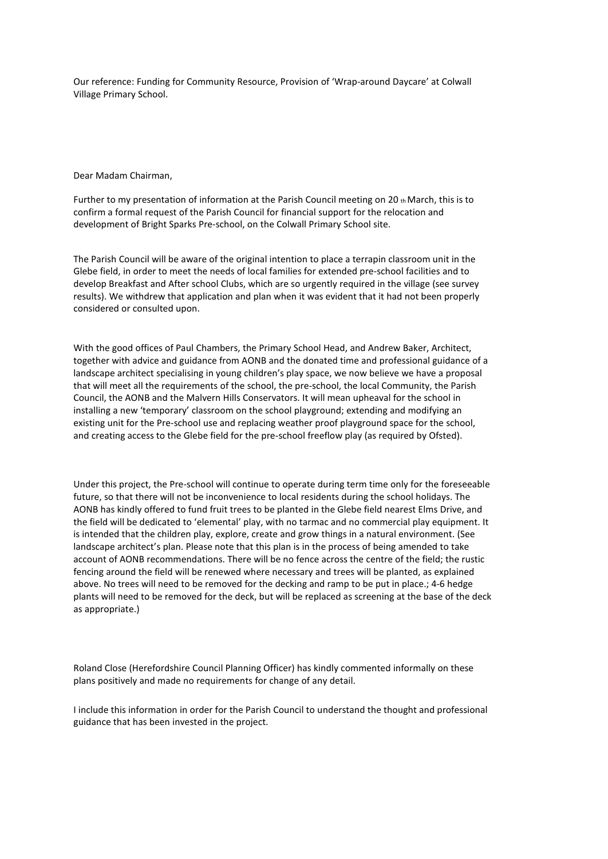Our reference: Funding for Community Resource, Provision of 'Wrap-around Daycare' at Colwall Village Primary School.

Dear Madam Chairman,

Further to my presentation of information at the Parish Council meeting on 20  $<sub>th</sub>$  March, this is to</sub> confirm a formal request of the Parish Council for financial support for the relocation and development of Bright Sparks Pre-school, on the Colwall Primary School site.

The Parish Council will be aware of the original intention to place a terrapin classroom unit in the Glebe field, in order to meet the needs of local families for extended pre-school facilities and to develop Breakfast and After school Clubs, which are so urgently required in the village (see survey results). We withdrew that application and plan when it was evident that it had not been properly considered or consulted upon.

With the good offices of Paul Chambers, the Primary School Head, and Andrew Baker, Architect, together with advice and guidance from AONB and the donated time and professional guidance of a landscape architect specialising in young children's play space, we now believe we have a proposal that will meet all the requirements of the school, the pre-school, the local Community, the Parish Council, the AONB and the Malvern Hills Conservators. It will mean upheaval for the school in installing a new 'temporary' classroom on the school playground; extending and modifying an existing unit for the Pre-school use and replacing weather proof playground space for the school, and creating access to the Glebe field for the pre-school freeflow play (as required by Ofsted).

Under this project, the Pre-school will continue to operate during term time only for the foreseeable future, so that there will not be inconvenience to local residents during the school holidays. The AONB has kindly offered to fund fruit trees to be planted in the Glebe field nearest Elms Drive, and the field will be dedicated to 'elemental' play, with no tarmac and no commercial play equipment. It is intended that the children play, explore, create and grow things in a natural environment. (See landscape architect's plan. Please note that this plan is in the process of being amended to take account of AONB recommendations. There will be no fence across the centre of the field; the rustic fencing around the field will be renewed where necessary and trees will be planted, as explained above. No trees will need to be removed for the decking and ramp to be put in place.; 4-6 hedge plants will need to be removed for the deck, but will be replaced as screening at the base of the deck as appropriate.)

Roland Close (Herefordshire Council Planning Officer) has kindly commented informally on these plans positively and made no requirements for change of any detail.

I include this information in order for the Parish Council to understand the thought and professional guidance that has been invested in the project.